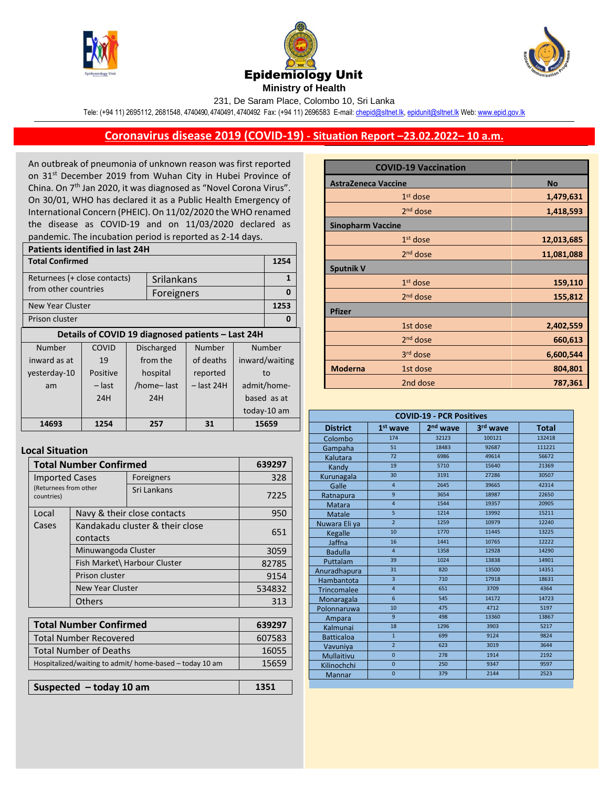





231, De Saram Place, Colombo 10, Sri Lanka

Tele: (+94 11) 2695112, 2681548, 4740490, 4740491, 4740492 Fax: (+94 11) 2696583 E-mail[: chepid@sltnet.lk,](mailto:chepi@sltnet.lk) [epidunit@sltnet.lk](mailto:epidunit@sltnet.lk) Web[: www.epid.gov.lk](http://www.epid.gov.lk/)

## **Coronavirus disease 2019 (COVID-19) - Situation Report –23.02.2022– 10 a.m.**

An outbreak of pneumonia of unknown reason was first reported on 31<sup>st</sup> December 2019 from Wuhan City in Hubei Province of China. On 7<sup>th</sup> Jan 2020, it was diagnosed as "Novel Corona Virus". On 30/01, WHO has declared it as a Public Health Emergency of International Concern (PHEIC). On 11/02/2020 the WHO renamed the disease as COVID-19 and on 11/03/2020 declared as pandemic. The incubation period is reported as 2-14 days.

| Patients identified in last 24H                   |          |  |                   |              |      |                |
|---------------------------------------------------|----------|--|-------------------|--------------|------|----------------|
| <b>Total Confirmed</b>                            |          |  |                   |              | 1254 |                |
| Returnees (+ close contacts)                      |          |  | Srilankans        |              |      | $\mathbf{1}$   |
| from other countries                              |          |  | Foreigners        |              |      | 0              |
| New Year Cluster                                  |          |  |                   |              |      | 1253           |
| Prison cluster<br>0                               |          |  |                   |              |      |                |
| Details of COVID 19 diagnosed patients - Last 24H |          |  |                   |              |      |                |
| Number                                            | COVID    |  | <b>Discharged</b> | Number       |      | Number         |
| inward as at                                      | 19       |  | from the          | of deaths    |      | inward/waiting |
| yesterday-10                                      | Positive |  | hospital          | reported     | to   |                |
| am                                                | – last   |  | /home-last        | $-$ last 24H |      | admit/home-    |
|                                                   | 24H      |  | 24H               |              |      | based as at    |
|                                                   |          |  |                   |              |      | today-10 am    |
| 14693                                             | 1254     |  | 257               | 31           |      | 15659          |
|                                                   |          |  |                   |              |      |                |

## **Local Situation**

|                                                         | <b>Total Number Confirmed</b><br>639297     |                             |        |
|---------------------------------------------------------|---------------------------------------------|-----------------------------|--------|
| <b>Imported Cases</b>                                   |                                             | Foreigners                  | 328    |
| (Returnees from other<br>countries)                     |                                             | Sri Lankans                 | 7225   |
| Local                                                   |                                             | Navy & their close contacts | 950    |
| Cases                                                   | Kandakadu cluster & their close<br>contacts |                             | 651    |
|                                                         | Minuwangoda Cluster                         |                             | 3059   |
|                                                         | Fish Market\ Harbour Cluster                |                             | 82785  |
|                                                         | Prison cluster                              |                             | 9154   |
|                                                         | New Year Cluster                            |                             | 534832 |
|                                                         | <b>Others</b>                               |                             | 313    |
|                                                         |                                             |                             |        |
|                                                         | <b>Total Number Confirmed</b>               |                             | 639297 |
| <b>Total Number Recovered</b>                           |                                             | 607583                      |        |
|                                                         | Total Number of Deaths                      |                             | 16055  |
| Hospitalized/waiting to admit/ home-based – today 10 am |                                             | 15659                       |        |
|                                                         |                                             |                             |        |
|                                                         | Suspected - today 10 am                     |                             | 1351   |

|                            | <b>COVID-19 Vaccination</b> |            |
|----------------------------|-----------------------------|------------|
| <b>AstraZeneca Vaccine</b> |                             | <b>No</b>  |
|                            | $1st$ dose                  | 1,479,631  |
|                            | $2nd$ dose                  | 1,418,593  |
| <b>Sinopharm Vaccine</b>   |                             |            |
|                            | $1st$ dose                  | 12,013,685 |
|                            | $2nd$ dose                  | 11,081,088 |
| <b>Sputnik V</b>           |                             |            |
|                            | $1st$ dose                  | 159,110    |
|                            | $2nd$ dose                  | 155,812    |
| <b>Pfizer</b>              |                             |            |
|                            | 1st dose                    | 2,402,559  |
|                            | $2nd$ dose                  | 660,613    |
|                            | 3rd dose                    | 6,600,544  |
| <b>Moderna</b>             | 1st dose                    | 804,801    |
|                            | 2nd dose                    | 787,361    |

| <b>COVID-19 - PCR Positives</b> |                 |                      |                      |              |
|---------------------------------|-----------------|----------------------|----------------------|--------------|
| <b>District</b>                 | $1st$ wave      | 2 <sup>nd</sup> wave | 3 <sup>rd</sup> wave | <b>Total</b> |
| Colombo                         | 174             | 32123                | 100121               | 132418       |
| Gampaha                         | 51              | 18483                | 92687                | 111221       |
| Kalutara                        | 72              | 6986                 | 49614                | 56672        |
| Kandy                           | 19              | 5710                 | 15640                | 21369        |
| Kurunagala                      | 30              | 3191                 | 27286                | 30507        |
| Galle                           | $\overline{4}$  | 2645                 | 39665                | 42314        |
| Ratnapura                       | 9               | 3654                 | 18987                | 22650        |
| <b>Matara</b>                   | $\overline{4}$  | 1544                 | 19357                | 20905        |
| Matale                          | 5               | 1214                 | 13992                | 15211        |
| Nuwara Eli ya                   | $\overline{2}$  | 1259                 | 10979                | 12240        |
| Kegalle                         | 10              | 1770                 | 11445                | 13225        |
| Jaffna                          | 16              | 1441                 | 10765                | 12222        |
| <b>Badulla</b>                  | $\overline{a}$  | 1358                 | 12928                | 14290        |
| Puttalam                        | 39              | 1024                 | 13838                | 14901        |
| Anuradhapura                    | 31              | 820                  | 13500                | 14351        |
| Hambantota                      | $\overline{3}$  | 710                  | 17918                | 18631        |
| <b>Trincomalee</b>              | $\overline{4}$  | 651                  | 3709                 | 4364         |
| Monaragala                      | $6\overline{6}$ | 545                  | 14172                | 14723        |
| Polonnaruwa                     | 10              | 475                  | 4712                 | 5197         |
| Ampara                          | $\overline{9}$  | 498                  | 13360                | 13867        |
| Kalmunai                        | 18              | 1296                 | 3903                 | 5217         |
| <b>Batticaloa</b>               | $\overline{1}$  | 699                  | 9124                 | 9824         |
| Vavuniya                        | $\overline{2}$  | 623                  | 3019                 | 3644         |
| Mullaitivu                      | $\overline{0}$  | 278                  | 1914                 | 2192         |
| Kilinochchi                     | $\mathbf{0}$    | 250                  | 9347                 | 9597         |
| Mannar                          | $\overline{0}$  | 379                  | 2144                 | 2523         |